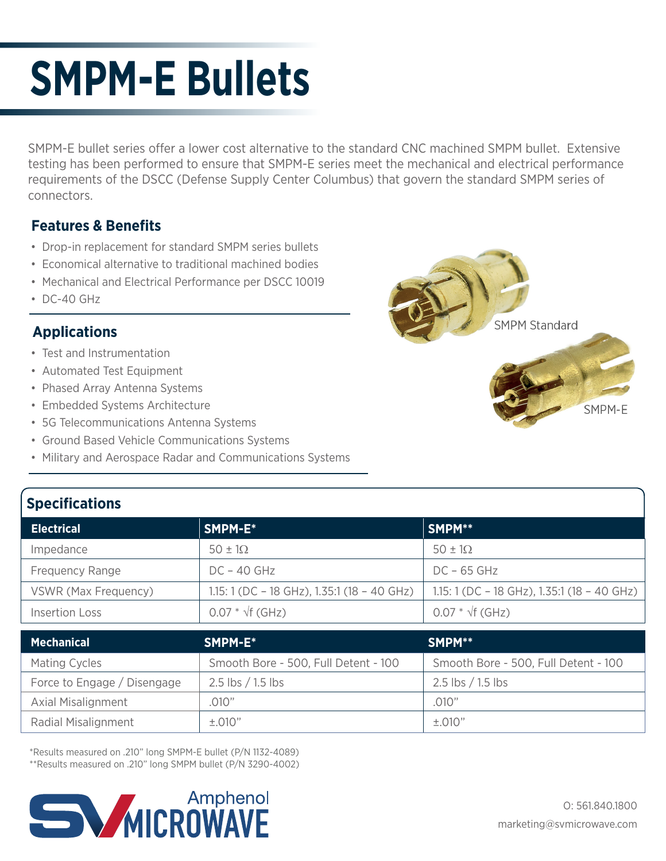## **SMPM-E Bullets**

SMPM-E bullet series offer a lower cost alternative to the standard CNC machined SMPM bullet. Extensive testing has been performed to ensure that SMPM-E series meet the mechanical and electrical performance requirements of the DSCC (Defense Supply Center Columbus) that govern the standard SMPM series of connectors.

## **Features & Benefits**

- Drop-in replacement for standard SMPM series bullets
- Economical alternative to traditional machined bodies
- Mechanical and Electrical Performance per DSCC 10019
- DC-40 GHz

## **Applications**

- Test and Instrumentation
- Automated Test Equipment
- Phased Array Antenna Systems
- Embedded Systems Architecture
- 5G Telecommunications Antenna Systems
- Ground Based Vehicle Communications Systems
- Military and Aerospace Radar and Communications Systems



| <b>OPCCHILORIOUS</b>   |                                             |                                             |  |
|------------------------|---------------------------------------------|---------------------------------------------|--|
| <b>Electrical</b>      | SMPM-E*                                     | SMPM**                                      |  |
| Impedance              | $50 \pm 10$                                 | $50 \pm 10$                                 |  |
| <b>Frequency Range</b> | $DC - 40$ GHz                               | $DC - 65$ GHz                               |  |
| VSWR (Max Frequency)   | 1.15: 1 (DC - 18 GHz), 1.35:1 (18 - 40 GHz) | 1.15: 1 (DC - 18 GHz), 1.35:1 (18 - 40 GHz) |  |
| <b>Insertion Loss</b>  | $0.07 * \sqrt{f}$ (GHz)                     | $0.07 * \sqrt{f}$ (GHz)                     |  |
|                        |                                             |                                             |  |

| <b>Mechanical</b>           | SMPM-E*                              | SMPM**                               |
|-----------------------------|--------------------------------------|--------------------------------------|
| Mating Cycles               | Smooth Bore - 500, Full Detent - 100 | Smooth Bore - 500, Full Detent - 100 |
| Force to Engage / Disengage | $2.5$ lbs $/1.5$ lbs                 | $2.5$ lbs $/1.5$ lbs                 |
| <b>Axial Misalignment</b>   | .010"                                | .010"                                |
| Radial Misalignment         | ±.010"                               | ±.010"                               |

\*Results measured on .210" long SMPM-E bullet (P/N 1132-4089) \*\*Results measured on .210" long SMPM bullet (P/N 3290-4002)